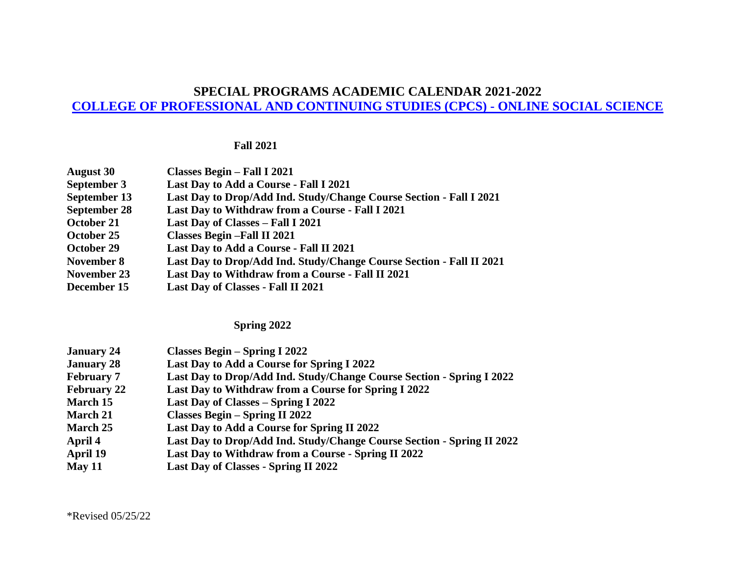### **SPECIAL PROGRAMS ACADEMIC CALENDAR 2021-2022**

# **[COLLEGE OF PROFESSIONAL AND CONTINUING STUDIES \(CPCS\) -](http://catalog.adelphi.edu/preview_program.php?catoid=21&poid=10076) ONLINE SOCIAL SCIENCE**

#### **Fall 2021**

| <b>August 30</b>    | Classes Begin - Fall I 2021                                          |
|---------------------|----------------------------------------------------------------------|
| September 3         | Last Day to Add a Course - Fall I 2021                               |
| September 13        | Last Day to Drop/Add Ind. Study/Change Course Section - Fall I 2021  |
| <b>September 28</b> | Last Day to Withdraw from a Course - Fall I 2021                     |
| October 21          | Last Day of Classes - Fall I 2021                                    |
| October 25          | <b>Classes Begin-Fall II 2021</b>                                    |
| October 29          | Last Day to Add a Course - Fall II 2021                              |
| November 8          | Last Day to Drop/Add Ind. Study/Change Course Section - Fall II 2021 |
| November 23         | Last Day to Withdraw from a Course - Fall II 2021                    |
| December 15         | Last Day of Classes - Fall II 2021                                   |

#### **Spring 2022**

| <b>January 24</b>  | <b>Classes Begin – Spring I 2022</b>                                   |
|--------------------|------------------------------------------------------------------------|
| <b>January 28</b>  | Last Day to Add a Course for Spring I 2022                             |
| <b>February 7</b>  | Last Day to Drop/Add Ind. Study/Change Course Section - Spring I 2022  |
| <b>February 22</b> | Last Day to Withdraw from a Course for Spring I 2022                   |
| March 15           | Last Day of Classes – Spring I 2022                                    |
| <b>March 21</b>    | <b>Classes Begin – Spring II 2022</b>                                  |
| March 25           | Last Day to Add a Course for Spring II 2022                            |
| April 4            | Last Day to Drop/Add Ind. Study/Change Course Section - Spring II 2022 |
| April 19           | Last Day to Withdraw from a Course - Spring II 2022                    |
| May 11             | Last Day of Classes - Spring II 2022                                   |

\*Revised 05/25/22